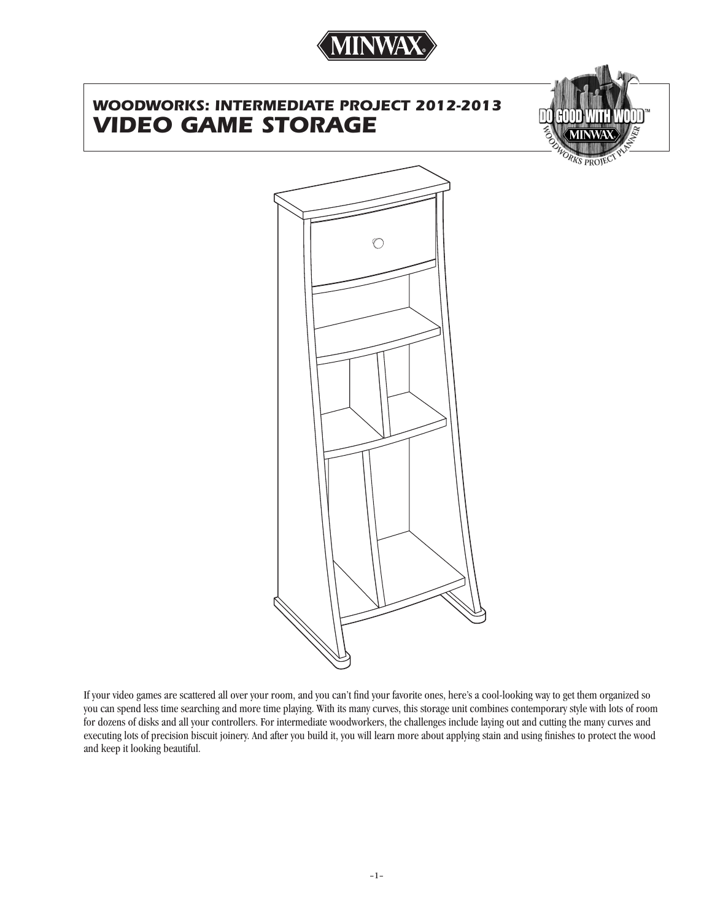

# *WOODWORKS: INTERMEDIATE PROJECT 2012-2013 VIDEO GAME STORAGE*



**RKS PROJE** 



If your video games are scattered all over your room, and you can't find your favorite ones, here's a cool-looking way to get them organized so you can spend less time searching and more time playing. With its many curves, this storage unit combines contemporary style with lots of room for dozens of disks and all your controllers. For intermediate woodworkers, the challenges include laying out and cutting the many curves and executing lots of precision biscuit joinery. And after you build it, you will learn more about applying stain and using finishes to protect the wood and keep it looking beautiful.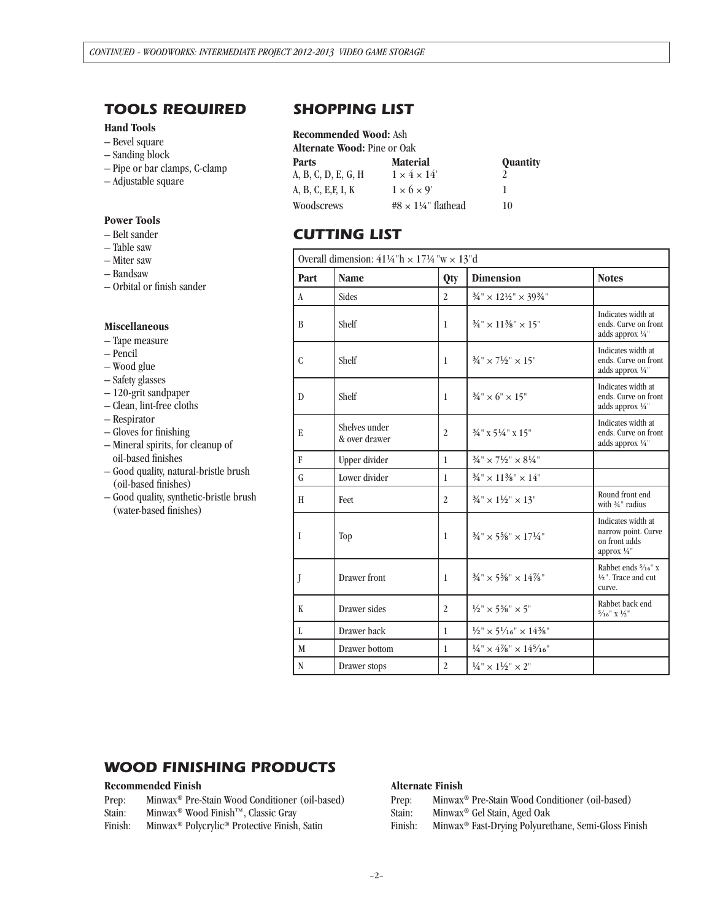## *TOOLS REQUIRED*

### **Hand Tools**

- Bevel square
- Sanding block
- Pipe or bar clamps, C-clamp
- Adjustable square

### **Power Tools**

- Belt sander
- Table saw
- Miter saw
- Bandsaw
- Orbital or finish sander

### **Miscellaneous**

- Tape measure
- Pencil
- Wood glue
- Safety glasses
- 120-grit sandpaper
- Clean, lint-free cloths
- Respirator
- Gloves for finishing
- Mineral spirits, for cleanup of oil-based finishes
- Good quality, natural-bristle brush (oil-based finishes)
- Good quality, synthetic-bristle brush (water-based finishes)

## *SHOPPING LIST*

### **Recommended Wood:** Ash

| <b>Alternate Wood: Pine or Oak</b> |                          |          |  |  |  |
|------------------------------------|--------------------------|----------|--|--|--|
| Parts                              | <b>Material</b>          | Quantity |  |  |  |
| A, B, C, D, E, G, H                | $1 \times 4 \times 14'$  |          |  |  |  |
| A, B, C, E, F, I, K                | $1 \times 6 \times 9'$   |          |  |  |  |
| Woodscrews                         | #8 $\times$ 1¼" flathead | 10       |  |  |  |

## *CUTTING LIST*

| Overall dimension: $41\frac{1}{4}$ "h × $17\frac{1}{4}$ "w × $13$ "d |                                |                |                                                                                       |                                                                           |  |
|----------------------------------------------------------------------|--------------------------------|----------------|---------------------------------------------------------------------------------------|---------------------------------------------------------------------------|--|
| Part                                                                 | <b>Name</b>                    | Qty            | <b>Dimension</b>                                                                      | <b>Notes</b>                                                              |  |
| A                                                                    | <b>Sides</b>                   | $\overline{2}$ | $\frac{3}{4}$ " $\times$ $12\frac{1}{2}$ " $\times$ $39\frac{3}{4}$ "                 |                                                                           |  |
| B                                                                    | Shelf                          | 1              | $\frac{3}{4}$ " × 11 <sup>3</sup> / <sub>8</sub> " × 15"                              | Indicates width at<br>ends. Curve on front<br>adds approx 1/4"            |  |
| $\mathcal{C}$                                                        | Shelf                          | $\mathbf{1}$   | $\frac{3}{4}$ " × 7 $\frac{1}{2}$ " × 15"                                             | Indicates width at<br>ends. Curve on front<br>adds approx 1/4"            |  |
| $\mathbf{D}$                                                         | Shelf                          | $\mathbf{1}$   | $\frac{3}{4}$ " × 6" × 15"                                                            | Indicates width at<br>ends. Curve on front<br>adds approx 1/4"            |  |
| E                                                                    | Shelves under<br>& over drawer | $\overline{2}$ | 3/4" x 51/4" x 15"                                                                    | Indicates width at<br>ends. Curve on front<br>adds approx 1/4"            |  |
| F                                                                    | Upper divider                  | $\mathbf{1}$   | $\frac{3}{4}$ " $\times$ 7 $\rlap{1}{\}/_{\!2}$ " $\times$ 8 $\rlap{1}{\not\,4}$ "    |                                                                           |  |
| G                                                                    | Lower divider                  | $\mathbf{1}$   | $\frac{3}{4}$ " × 11 <sup>3</sup> / <sub>8</sub> " × 14"                              |                                                                           |  |
| H                                                                    | Feet                           | $\overline{2}$ | $\frac{3}{4}$ " × $1\frac{1}{2}$ " × $13$ "                                           | Round front end<br>with 3/4" radius                                       |  |
| I                                                                    | Top                            | $\mathbf{1}$   | $\frac{3}{4}$ " × 5%" × 17¼"                                                          | Indicates width at<br>narrow point. Curve<br>on front adds<br>approx 1/4" |  |
| J                                                                    | Drawer front                   | $\mathbf{1}$   | $\frac{3}{4}$ " × 5%" × 14%"                                                          | Rabbet ends 5/16" x<br>1/2". Trace and cut<br>curve.                      |  |
| K                                                                    | Drawer sides                   | $\overline{2}$ | $\frac{1}{2}$ " × 5 <sup>5</sup> /s" × 5"                                             | Rabbet back end<br>$5/16$ " X $1/2$ "                                     |  |
| L                                                                    | Drawer back                    | $\mathbf{1}$   | $\frac{1}{2}$ " × 5 $\frac{1}{16}$ " × 14 $\frac{3}{8}$ "                             |                                                                           |  |
| M                                                                    | Drawer bottom                  | $\mathbf{1}$   | $\frac{1}{4}$ " × 4 <sup>7</sup> / <sub>8</sub> " × 14 <sup>5</sup> / <sub>16</sub> " |                                                                           |  |
| $\mathbf N$                                                          | Drawer stops                   | $\overline{2}$ | $\frac{1}{4}$ " × $1\frac{1}{2}$ " × 2"                                               |                                                                           |  |

## *WOOD FINISHING PRODUCTS*

## **Recommended Finish**

- Prep: Minwax® Pre-Stain Wood Conditioner (oil-based)
- Stain: Minwax<sup>®</sup> Wood Finish™, Classic Gray<br>Finish: Minwax® Polycrylic® Protective Finish
- Minwax<sup>®</sup> Polycrylic<sup>®</sup> Protective Finish, Satin

## **Alternate Finish**

- Prep: Minwax® Pre-Stain Wood Conditioner (oil-based)
- Stain: Minwax<sup>®</sup> Gel Stain, Aged Oak<br>Finish: Minwax® Fast-Drving Polyuret
- Minwax<sup>®</sup> Fast-Drying Polyurethane, Semi-Gloss Finish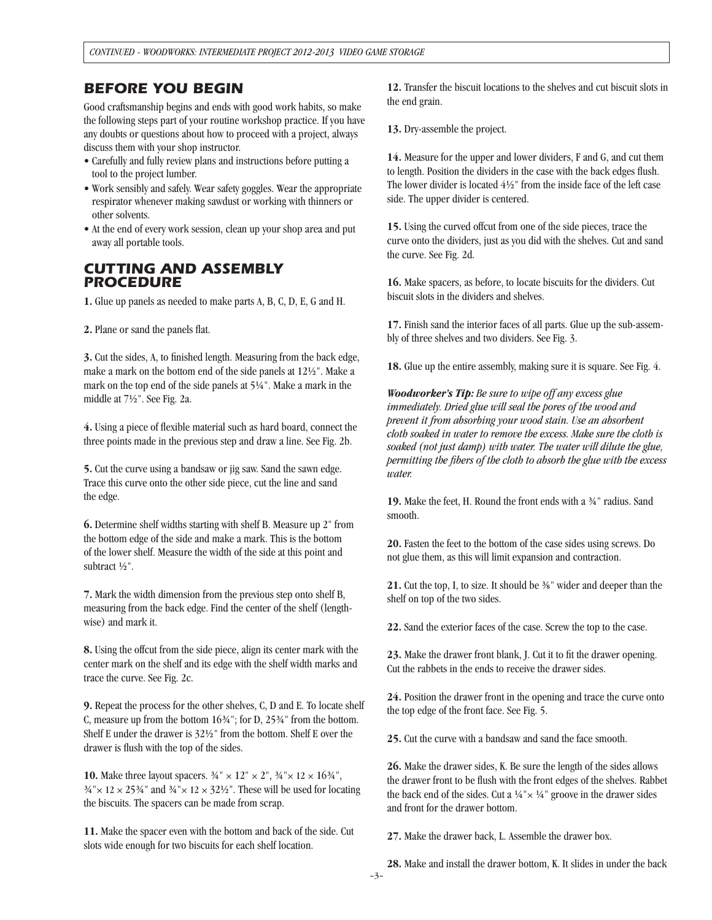## *BEFORE YOU BEGIN*

Good craftsmanship begins and ends with good work habits, so make the following steps part of your routine workshop practice. If you have any doubts or questions about how to proceed with a project, always discuss them with your shop instructor.

- Carefully and fully review plans and instructions before putting a tool to the project lumber.
- Work sensibly and safely. Wear safety goggles. Wear the appropriate respirator whenever making sawdust or working with thinners or other solvents.
- At the end of every work session, clean up your shop area and put away all portable tools.

## *CUTTING AND ASSEMBLY PROCEDURE*

**1.** Glue up panels as needed to make parts A, B, C, D, E, G and H.

**2.** Plane or sand the panels flat.

**3.** Cut the sides, A, to finished length. Measuring from the back edge, make a mark on the bottom end of the side panels at 121/2". Make a mark on the top end of the side panels at 51/4". Make a mark in the middle at 71/2". See Fig. 2a.

**4.** Using a piece of flexible material such as hard board, connect the three points made in the previous step and draw a line. See Fig. 2b.

**5.** Cut the curve using a bandsaw or jig saw. Sand the sawn edge. Trace this curve onto the other side piece, cut the line and sand the edge.

**6.** Determine shelf widths starting with shelf B. Measure up 2" from the bottom edge of the side and make a mark. This is the bottom of the lower shelf. Measure the width of the side at this point and subtract 1/2".

**7.** Mark the width dimension from the previous step onto shelf B, measuring from the back edge. Find the center of the shelf (lengthwise) and mark it.

**8.** Using the offcut from the side piece, align its center mark with the center mark on the shelf and its edge with the shelf width marks and trace the curve. See Fig. 2c.

**9.** Repeat the process for the other shelves, C, D and E. To locate shelf C, measure up from the bottom  $1634$ "; for D,  $2534$ " from the bottom. Shelf E under the drawer is  $32\frac{1}{2}$ " from the bottom. Shelf E over the drawer is flush with the top of the sides.

**10.** Make three layout spacers.  $\frac{3}{4}$   $\times$   $12$   $\times$   $2$   $\times$   $\frac{3}{4}$   $\times$   $12 \times 16\frac{3}{4}$   $\times$  $34'' \times 12 \times 2534''$  and  $34'' \times 12 \times 323''$ . These will be used for locating the biscuits. The spacers can be made from scrap.

**11.** Make the spacer even with the bottom and back of the side. Cut slots wide enough for two biscuits for each shelf location.

**12.** Transfer the biscuit locations to the shelves and cut biscuit slots in the end grain.

**13.** Dry-assemble the project.

**14.** Measure for the upper and lower dividers, F and G, and cut them to length. Position the dividers in the case with the back edges flush. The lower divider is located  $4\frac{1}{2}$ " from the inside face of the left case side. The upper divider is centered.

**15.** Using the curved offcut from one of the side pieces, trace the curve onto the dividers, just as you did with the shelves. Cut and sand the curve. See Fig. 2d.

**16.** Make spacers, as before, to locate biscuits for the dividers. Cut biscuit slots in the dividers and shelves.

**17.** Finish sand the interior faces of all parts. Glue up the sub-assembly of three shelves and two dividers. See Fig. 3.

**18.** Glue up the entire assembly, making sure it is square. See Fig. 4.

*Woodworker's Tip: Be sure to wipe off any excess glue immediately. Dried glue will seal the pores of the wood and prevent it from absorbing your wood stain. Use an absorbent cloth soaked in water to remove the excess. Make sure the cloth is soaked (not just damp) with water. The water will dilute the glue, permitting the fibers of the cloth to absorb the glue with the excess water.*

**19.** Make the feet, H. Round the front ends with a 3/4" radius. Sand smooth.

**20.** Fasten the feet to the bottom of the case sides using screws. Do not glue them, as this will limit expansion and contraction.

**21.** Cut the top, I, to size. It should be 3/8" wider and deeper than the shelf on top of the two sides.

**22.** Sand the exterior faces of the case. Screw the top to the case.

**23.** Make the drawer front blank, J. Cut it to fit the drawer opening. Cut the rabbets in the ends to receive the drawer sides.

**24.** Position the drawer front in the opening and trace the curve onto the top edge of the front face. See Fig. 5.

**25.** Cut the curve with a bandsaw and sand the face smooth.

**26.** Make the drawer sides, K. Be sure the length of the sides allows the drawer front to be flush with the front edges of the shelves. Rabbet the back end of the sides. Cut a  $\frac{1}{4}$ " x  $\frac{1}{4}$ " groove in the drawer sides and front for the drawer bottom.

**27.** Make the drawer back, L. Assemble the drawer box.

**28.** Make and install the drawer bottom, K. It slides in under the back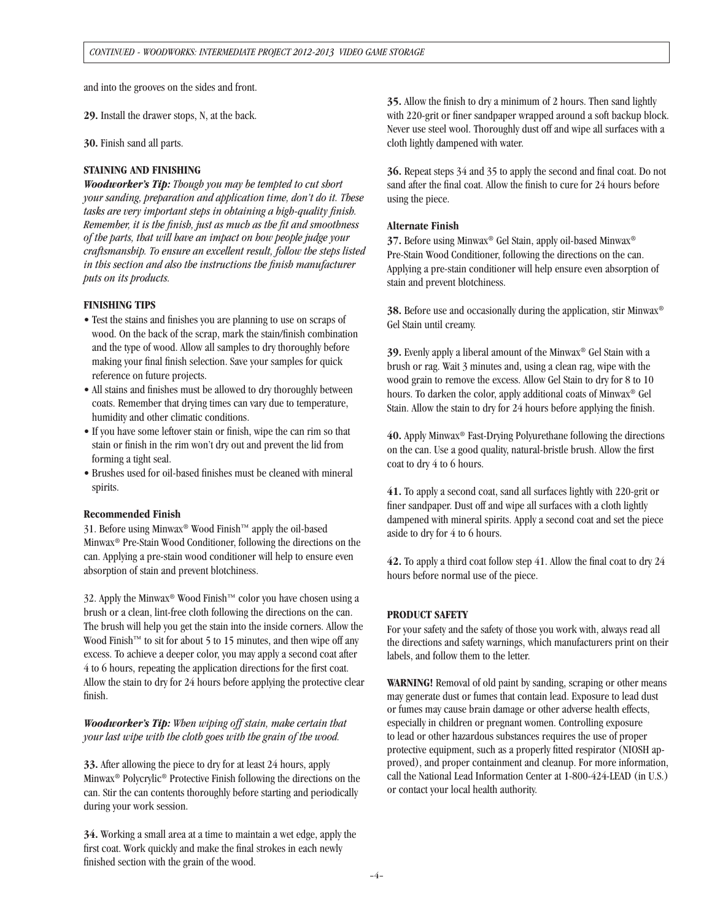and into the grooves on the sides and front.

**29.** Install the drawer stops, N, at the back.

**30.** Finish sand all parts.

#### **STAINING AND FINISHING**

*Woodworker's Tip: Though you may be tempted to cut short your sanding, preparation and application time, don't do it. These tasks are very important steps in obtaining a high-quality finish. Remember, it is the finish, just as much as the fit and smoothness of the parts, that will have an impact on how people judge your craftsmanship. To ensure an excellent result, follow the steps listed in this section and also the instructions the finish manufacturer puts on its products.*

#### **FINISHING TIPS**

- Test the stains and finishes you are planning to use on scraps of wood. On the back of the scrap, mark the stain/finish combination and the type of wood. Allow all samples to dry thoroughly before making your final finish selection. Save your samples for quick reference on future projects.
- All stains and finishes must be allowed to dry thoroughly between coats. Remember that drying times can vary due to temperature, humidity and other climatic conditions.
- If you have some leftover stain or finish, wipe the can rim so that stain or finish in the rim won't dry out and prevent the lid from forming a tight seal.
- Brushes used for oil-based finishes must be cleaned with mineral spirits.

#### **Recommended Finish**

31. Before using Minwax® Wood Finish™ apply the oil-based Minwax® Pre-Stain Wood Conditioner, following the directions on the can. Applying a pre-stain wood conditioner will help to ensure even absorption of stain and prevent blotchiness.

32. Apply the Minwax® Wood Finish™ color you have chosen using a brush or a clean, lint-free cloth following the directions on the can. The brush will help you get the stain into the inside corners. Allow the Wood Finish™ to sit for about 5 to 15 minutes, and then wipe off any excess. To achieve a deeper color, you may apply a second coat after 4 to 6 hours, repeating the application directions for the first coat. Allow the stain to dry for 24 hours before applying the protective clear finish.

*Woodworker's Tip: When wiping off stain, make certain that your last wipe with the cloth goes with the grain of the wood.* 

**33.** After allowing the piece to dry for at least 24 hours, apply Minwax® Polycrylic® Protective Finish following the directions on the can. Stir the can contents thoroughly before starting and periodically during your work session.

**34.** Working a small area at a time to maintain a wet edge, apply the first coat. Work quickly and make the final strokes in each newly finished section with the grain of the wood.

**35.** Allow the finish to dry a minimum of 2 hours. Then sand lightly with 220-grit or finer sandpaper wrapped around a soft backup block. Never use steel wool. Thoroughly dust off and wipe all surfaces with a cloth lightly dampened with water.

**36.** Repeat steps 34 and 35 to apply the second and final coat. Do not sand after the final coat. Allow the finish to cure for 24 hours before using the piece.

#### **Alternate Finish**

**37.** Before using Minwax® Gel Stain, apply oil-based Minwax® Pre-Stain Wood Conditioner, following the directions on the can. Applying a pre-stain conditioner will help ensure even absorption of stain and prevent blotchiness.

38. Before use and occasionally during the application, stir Minwax<sup>®</sup> Gel Stain until creamy.

**39.** Evenly apply a liberal amount of the Minwax® Gel Stain with a brush or rag. Wait 3 minutes and, using a clean rag, wipe with the wood grain to remove the excess. Allow Gel Stain to dry for 8 to 10 hours. To darken the color, apply additional coats of Minwax® Gel Stain. Allow the stain to dry for 24 hours before applying the finish.

**40.** Apply Minwax® Fast-Drying Polyurethane following the directions on the can. Use a good quality, natural-bristle brush. Allow the first coat to dry 4 to 6 hours.

**41.** To apply a second coat, sand all surfaces lightly with 220-grit or finer sandpaper. Dust off and wipe all surfaces with a cloth lightly dampened with mineral spirits. Apply a second coat and set the piece aside to dry for 4 to 6 hours.

**42.** To apply a third coat follow step 41. Allow the final coat to dry 24 hours before normal use of the piece.

### **PRODUCT SAFETY**

For your safety and the safety of those you work with, always read all the directions and safety warnings, which manufacturers print on their labels, and follow them to the letter.

**WARNING!** Removal of old paint by sanding, scraping or other means may generate dust or fumes that contain lead. Exposure to lead dust or fumes may cause brain damage or other adverse health effects, especially in children or pregnant women. Controlling exposure to lead or other hazardous substances requires the use of proper protective equipment, such as a properly fitted respirator (NIOSH approved), and proper containment and cleanup. For more information, call the National Lead Information Center at 1-800-424-LEAD (in U.S.) or contact your local health authority.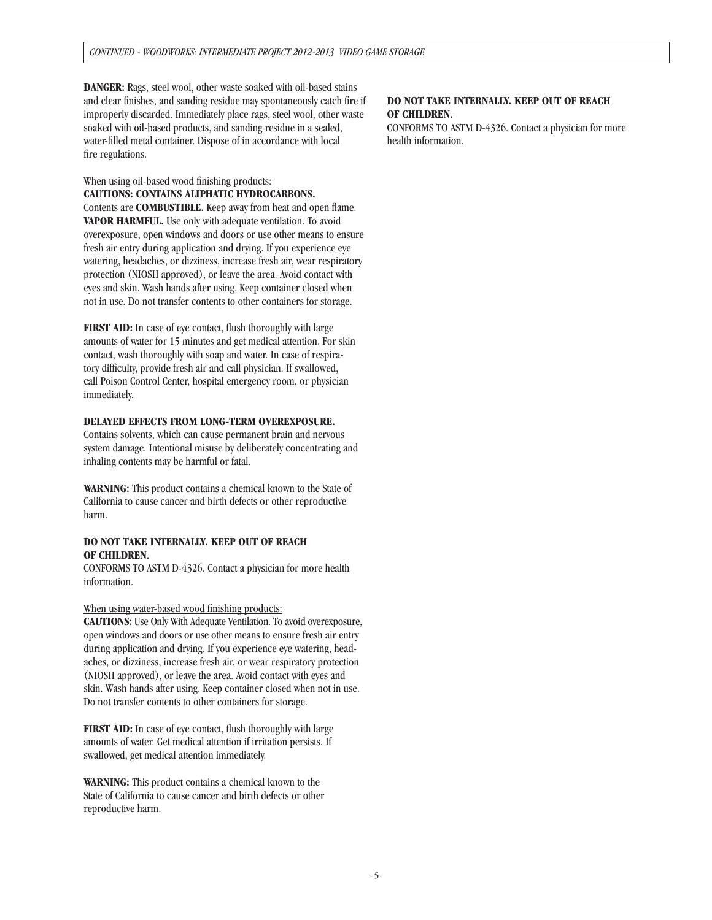**DANGER:** Rags, steel wool, other waste soaked with oil-based stains and clear finishes, and sanding residue may spontaneously catch fire if improperly discarded. Immediately place rags, steel wool, other waste soaked with oil-based products, and sanding residue in a sealed, water-filled metal container. Dispose of in accordance with local fire regulations.

When using oil-based wood finishing products: **CAUTIONS: CONTAINS ALIPHATIC HYDROCARBONS.** Contents are **COMBUSTIBLE.** Keep away from heat and open flame. **VAPOR HARMFUL.** Use only with adequate ventilation. To avoid overexposure, open windows and doors or use other means to ensure fresh air entry during application and drying. If you experience eye watering, headaches, or dizziness, increase fresh air, wear respiratory protection (NIOSH approved), or leave the area. Avoid contact with eyes and skin. Wash hands after using. Keep container closed when not in use. Do not transfer contents to other containers for storage.

**FIRST AID:** In case of eye contact, flush thoroughly with large amounts of water for 15 minutes and get medical attention. For skin contact, wash thoroughly with soap and water. In case of respiratory difficulty, provide fresh air and call physician. If swallowed, call Poison Control Center, hospital emergency room, or physician immediately.

### **DELAYED EFFECTS FROM LONG-TERM OVEREXPOSURE.**

Contains solvents, which can cause permanent brain and nervous system damage. Intentional misuse by deliberately concentrating and inhaling contents may be harmful or fatal.

**WARNING:** This product contains a chemical known to the State of California to cause cancer and birth defects or other reproductive harm.

### **DO NOT TAKE INTERNALLY. KEEP OUT OF REACH OF CHILDREN.**

CONFORMS TO ASTM D-4326. Contact a physician for more health information.

#### When using water-based wood finishing products:

**CAUTIONS:** Use Only With Adequate Ventilation. To avoid overexposure, open windows and doors or use other means to ensure fresh air entry during application and drying. If you experience eye watering, headaches, or dizziness, increase fresh air, or wear respiratory protection (NIOSH approved), or leave the area. Avoid contact with eyes and skin. Wash hands after using. Keep container closed when not in use. Do not transfer contents to other containers for storage.

**FIRST AID:** In case of eye contact, flush thoroughly with large amounts of water. Get medical attention if irritation persists. If swallowed, get medical attention immediately.

**WARNING:** This product contains a chemical known to the State of California to cause cancer and birth defects or other reproductive harm.

#### **DO NOT TAKE INTERNALLY. KEEP OUT OF REACH OF CHILDREN.**

CONFORMS TO ASTM D-4326. Contact a physician for more health information.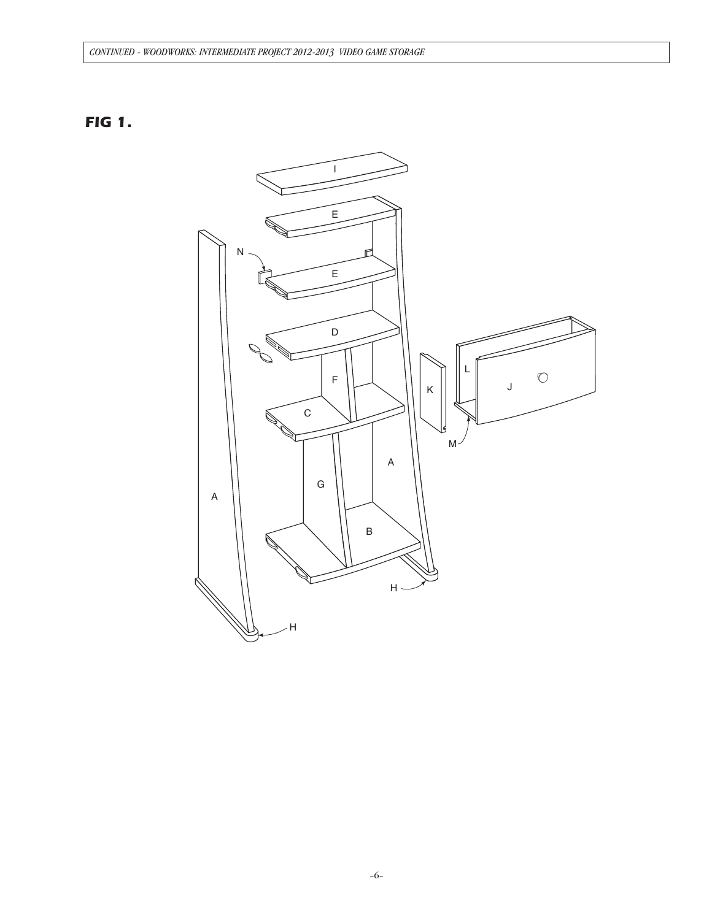## CONTINUED - WOODWORKS: INTERMEDIATE PROJECT 2012-2013 VIDEO GAME STORAGE

# **FIG 1.**

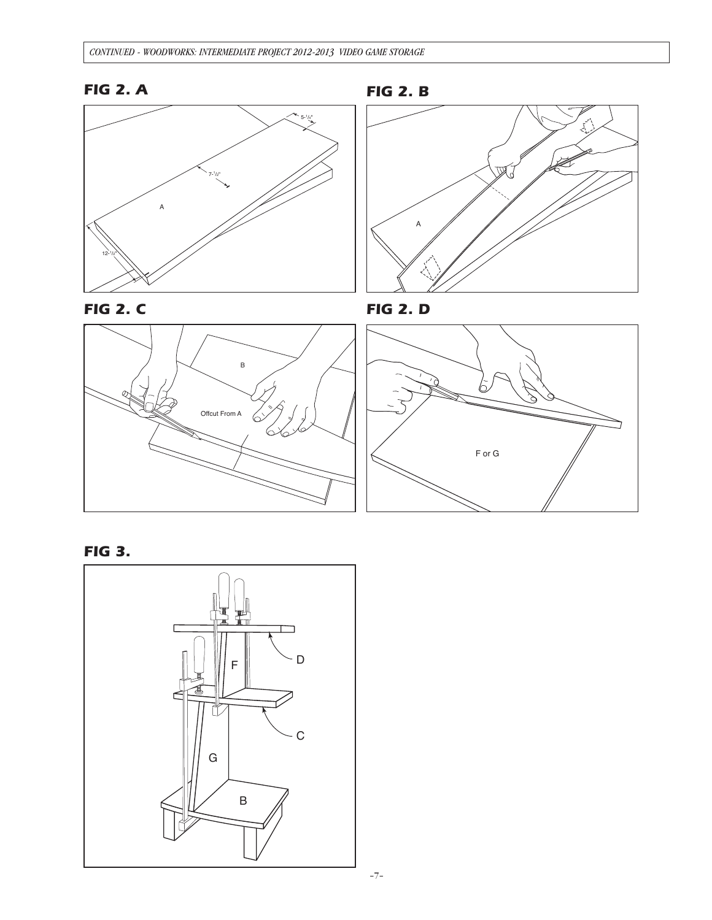









**FIG 2. D** 





**FIG 3.**